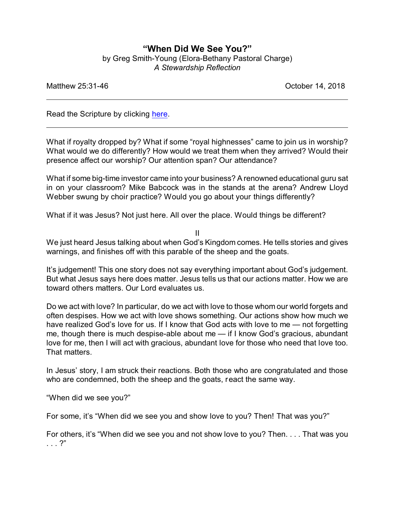## **"When Did We See You?"**

by Greg Smith-Young (Elora-Bethany Pastoral Charge) *A Stewardship Reflection*

Matthew 25:31-46 Corollary 25:31-46

Read the Scripture by clicking [here](https://www.biblegateway.com/passage/?search=Matthew+25%3A31-46&version=CEB).

What if royalty dropped by? What if some "royal highnesses" came to join us in worship? What would we do differently? How would we treat them when they arrived? Would their presence affect our worship? Our attention span? Our attendance?

What if some big-time investor came into your business? A renowned educational guru sat in on your classroom? Mike Babcock was in the stands at the arena? Andrew Lloyd Webber swung by choir practice? Would you go about your things differently?

What if it was Jesus? Not just here. All over the place. Would things be different?

II

We just heard Jesus talking about when God's Kingdom comes. He tells stories and gives warnings, and finishes off with this parable of the sheep and the goats.

It's judgement! This one story does not say everything important about God's judgement. But what Jesus says here does matter. Jesus tells us that our actions matter. How we are toward others matters. Our Lord evaluates us.

Do we act with love? In particular, do we act with love to those whom our world forgets and often despises. How we act with love shows something. Our actions show how much we have realized God's love for us. If I know that God acts with love to me — not forgetting me, though there is much despise-able about me — if I know God's gracious, abundant love for me, then I will act with gracious, abundant love for those who need that love too. That matters.

In Jesus' story, I am struck their reactions. Both those who are congratulated and those who are condemned, both the sheep and the goats, react the same way.

"When did we see you?"

For some, it's "When did we see you and show love to you? Then! That was you?"

For others, it's "When did we see you and not show love to you? Then. . . . That was you . . . ?"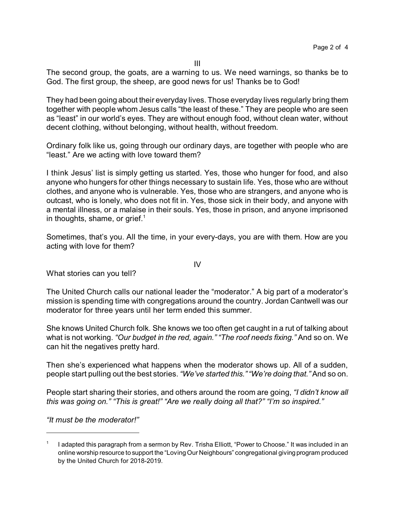III

The second group, the goats, are a warning to us. We need warnings, so thanks be to God. The first group, the sheep, are good news for us! Thanks be to God!

They had been going about their everyday lives. Those everyday lives regularly bring them together with people whom Jesus calls "the least of these." They are people who are seen as "least" in our world's eyes. They are without enough food, without clean water, without decent clothing, without belonging, without health, without freedom.

Ordinary folk like us, going through our ordinary days, are together with people who are "least." Are we acting with love toward them?

I think Jesus' list is simply getting us started. Yes, those who hunger for food, and also anyone who hungers for other things necessary to sustain life. Yes, those who are without clothes, and anyone who is vulnerable. Yes, those who are strangers, and anyone who is outcast, who is lonely, who does not fit in. Yes, those sick in their body, and anyone with a mental illness, or a malaise in their souls. Yes, those in prison, and anyone imprisoned in thoughts, shame, or grief. $<sup>1</sup>$ </sup>

Sometimes, that's you. All the time, in your every-days, you are with them. How are you acting with love for them?

What stories can you tell?

The United Church calls our national leader the "moderator." A big part of a moderator's mission is spending time with congregations around the country. Jordan Cantwell was our moderator for three years until her term ended this summer.

She knows United Church folk. She knows we too often get caught in a rut of talking about what is not working. *"Our budget in the red, again." "The roof needs fixing."* And so on. We can hit the negatives pretty hard.

Then she's experienced what happens when the moderator shows up. All of a sudden, people start pulling out the best stories. *"We've started this.""We're doing that."* And so on.

People start sharing their stories, and others around the room are going, *"I didn't know all this was going on." "This is great!" "Are we really doing all that?" "I'm so inspired."*

*"It must be the moderator!"*

IV

<sup>1</sup> I adapted this paragraph from a sermon by Rev. Trisha Elliott, "Power to Choose." It was included in an online worship resource to support the "Loving Our Neighbours" congregational giving program produced by the United Church for 2018-2019.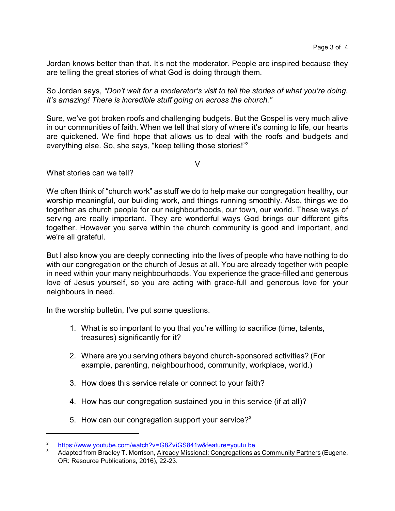Jordan knows better than that. It's not the moderator. People are inspired because they are telling the great stories of what God is doing through them.

So Jordan says, *"Don't wait for a moderator's visit to tell the stories of what you're doing. It's amazing! There is incredible stuff going on across the church."*

Sure, we've got broken roofs and challenging budgets. But the Gospel is very much alive in our communities of faith. When we tell that story of where it's coming to life, our hearts are quickened. We find hope that allows us to deal with the roofs and budgets and everything else. So, she says, "keep telling those stories!"<sup>2</sup>

V

What stories can we tell?

We often think of "church work" as stuff we do to help make our congregation healthy, our worship meaningful, our building work, and things running smoothly. Also, things we do together as church people for our neighbourhoods, our town, our world. These ways of serving are really important. They are wonderful ways God brings our different gifts together. However you serve within the church community is good and important, and we're all grateful.

But I also know you are deeply connecting into the lives of people who have nothing to do with our congregation or the church of Jesus at all. You are already together with people in need within your many neighbourhoods. You experience the grace-filled and generous love of Jesus yourself, so you are acting with grace-full and generous love for your neighbours in need.

In the worship bulletin, I've put some questions.

- 1. What is so important to you that you're willing to sacrifice (time, talents, treasures) significantly for it?
- 2. Where are you serving others beyond church-sponsored activities? (For example, parenting, neighbourhood, community, workplace, world.)
- 3. How does this service relate or connect to your faith?
- 4. How has our congregation sustained you in this service (if at all)?
- 5. How can our congregation support your service? $3<sup>3</sup>$

<sup>2</sup> <https://www.youtube.com/watch?v=G8ZviGS841w&feature=youtu.be>

Adapted from Bradley T. Morrison, Already Missional: Congregations as Community Partners (Eugene, OR: Resource Publications, 2016), 22-23.